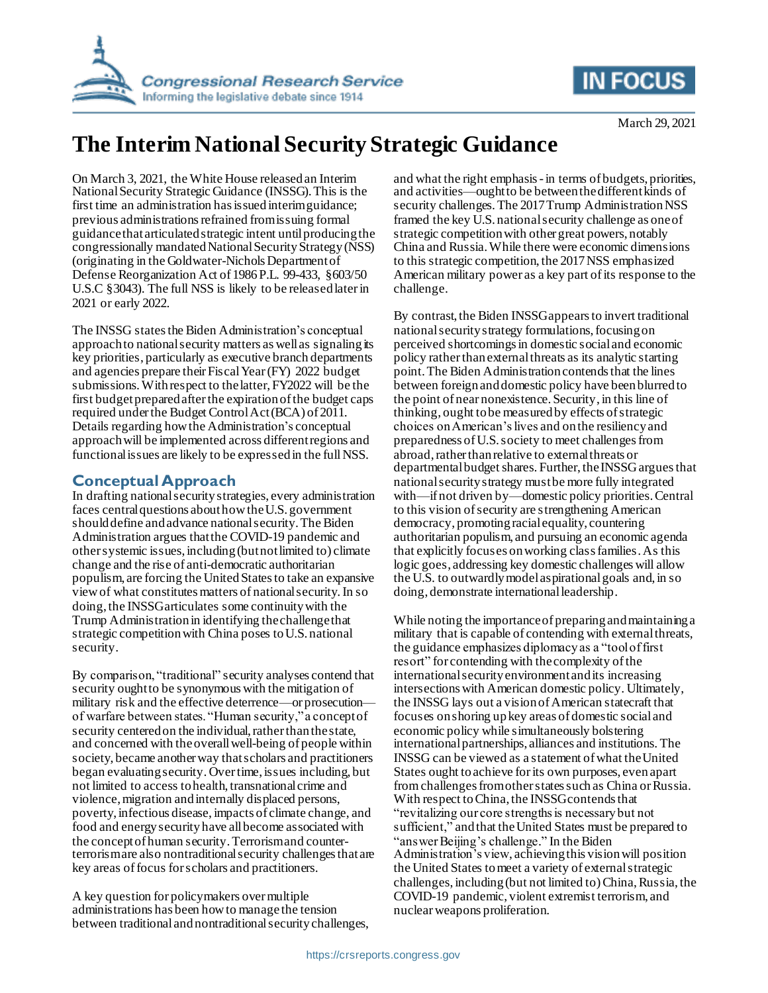



# **The Interim National Security Strategic Guidance**

On March 3, 2021, the White House released an Interim National Security Strategic Guidance (INSSG). This is the first time an administration has issued interim guidance; previous administrations refrained from issuing formal guidance that articulatedstrategic intent until producing the congressionally mandated National Security Strategy (NSS) (originating in the Goldwater-Nichols Department of Defense Reorganization Act of 1986 P.L. 99-433, §603/50 U.S.C §3043). The full NSS is likely to be released later in 2021 or early 2022.

The INSSG states the Biden Administration's conceptual approach to national security matters as well as signaling its key priorities, particularly as executive branch departments and agencies prepare their Fiscal Year(FY) 2022 budget submissions. With respect to the latter, FY2022 will be the first budget prepared after the expiration of the budget caps required under the Budget Control Act (BCA) of 2011. Details regarding how the Administration's conceptual approach will be implemented across different regions and functional issues are likely to be expressed in the full NSS.

# **Conceptual Approach**

In drafting national security strategies, every administration faces central questions about how the U.S. government should define and advance national security. The Biden Administration argues that the COVID-19 pandemic and other systemic issues,including(but not limited to) climate change and the rise of anti-democratic authoritarian populism, are forcing the UnitedStates to take an expansive view of what constitutes matters of national security.In so doing, the INSSG articulates some continuity with the Trump Administration in identifying the challenge that strategic competition with China poses to U.S. national security.

By comparison, "traditional" security analyses contend that security ought to be synonymous with the mitigation of military risk and the effective deterrence—or prosecution of warfare between states. "Human security," a concept of security centered on the individual, rather than the state, and concerned with theoverall well-being of people within society, became another way that scholars and practitioners began evaluating security. Over time, issues including, but not limited to access to health, transnational crime and violence, migration and internally displaced persons, poverty, infectious disease, impacts of climate change, and food and energy security have all become associated with the conceptof human security.Terrorism and counterterrorism are also nontraditional security challenges that are key areas of focus for scholars and practitioners.

A key question for policymakers over multiple administrations has been how to manage the tension between traditional and nontraditional security challenges,

and what the right emphasis-in terms of budgets, priorities, and activities—ought to be between thedifferent kinds of security challenges. The 2017 Trump Administration NSS framed the key U.S. national security challenge as one of strategic competition with other great powers, notably China and Russia. While there were economic dimensions to this strategic competition, the 2017 NSS emphasized American military power as a key part of its response to the challenge.

By contrast, the Biden INSSG appears to invert traditional national security strategy formulations, focusing on perceived shortcomings in domestic social and economic policy rather than external threats as its analytic starting point. The Biden Administration contends that the lines between foreign and domestic policy have been blurred to the point of near nonexistence. Security, in this line of thinking, ought to be measured by effects of strategic choices on American's lives and on the resiliency and preparedness of U.S. society to meet challenges from abroad, rather than relative to external threats or departmental budget shares. Further, the INSSG argues that national security strategy must be more fully integrated with—if not driven by—domestic policy priorities. Central to this vision of security are strengthening American democracy, promoting racial equality, countering authoritarian populism, and pursuing an economic agenda that explicitly focuses on working class families. As this logic goes, addressing key domestic challenges will allow the U.S. to outwardly model aspirational goals and,in so doing, demonstrate international leadership.

While noting the importance of preparing and maintaining a military that is capable of contending with external threats, the guidance emphasizes diplomacy as a "tool of first resort" for contending with the complexity of the international security environment and its increasing intersections with American domestic policy. Ultimately, the INSSG lays out a vision of American statecraft that focuses on shoring up key areas of domestic social and economic policy while simultaneously bolstering international partnerships, alliances and institutions. The INSSG can be viewed as a statement of what the United States ought to achieve for its own purposes, even apart from challenges from other states such as China or Russia. With respect to China, the INSSG contends that "revitalizing our core strengths is necessary but not sufficient," and that the United States must be prepared to "answer Beijing's challenge." In the Biden Administration's view, achieving this vision will position the United States to meet a variety of external strategic challenges, including (but not limited to) China, Russia, the COVID-19 pandemic, violent extremist terrorism, and nuclear weapons proliferation.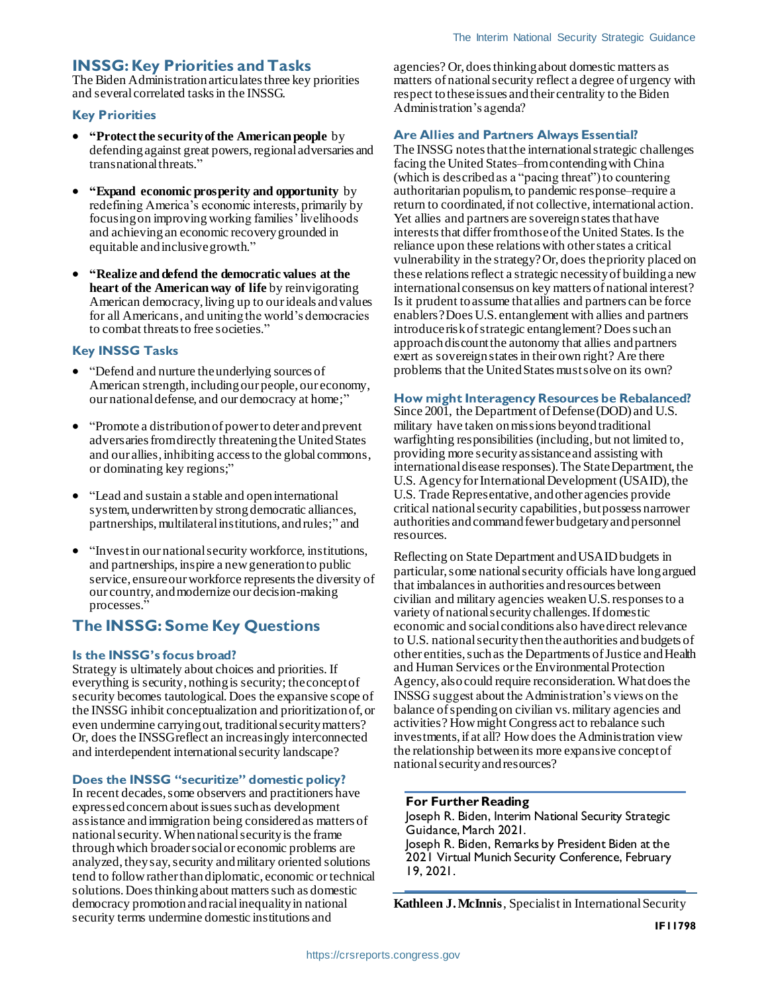### **INSSG: Key Priorities and Tasks**

The Biden Administration articulates three key priorities and several correlated tasksin the INSSG.

#### **Key Priorities**

- **"Protect the security of the American people** by defending against great powers, regional adversaries and transnational threats."
- **"Expand economic prosperity and opportunity** by redefining America's economic interests, primarily by focusing on improving working families' livelihoods and achieving an economic recovery grounded in equitable and inclusive growth."
- **"Realize and defend the democratic values at the heart of the American way of life** by reinvigorating American democracy, living up to our ideals and values for all Americans, and uniting the world's democracies to combat threats to free societies."

#### **Key INSSG Tasks**

- "Defend and nurture the underlying sources of American strength, including our people, our economy, our national defense, and our democracy at home;"
- "Promote a distribution of power to deter and prevent adversaries from directly threatening the United States and our allies, inhibiting access to the global commons, or dominating key regions;"
- "Lead and sustain a stable and open international system, underwritten by strong democratic alliances, partnerships, multilateral institutions, and rules;" and
- "Invest in our national security workforce, institutions, and partnerships, inspire a new generation to public service, ensure our workforce represents the diversity of our country, and modernize our decision-making processes."

# **The INSSG: Some Key Questions**

#### **Is the INSSG's focus broad?**

Strategy is ultimately about choices and priorities. If everything is security, nothing is security; the concept of security becomes tautological. Does the expansive scope of the INSSG inhibit conceptualization and prioritization of, or even undermine carrying out, traditional security matters? Or, does the INSSG reflect an increasingly interconnected and interdependent international security landscape?

#### **Does the INSSG "securitize" domestic policy?**

In recent decades, some observers and practitioners have expressed concern about issues such as development assistance and immigration being considered as matters of national security. When nationalsecurity is the frame through which broader social or economic problems are analyzed, they say, security and military oriented solutions tend to follow rather than diplomatic, economic or technical solutions. Does thinking about matters such as domestic democracy promotion and racial inequality in national security terms undermine domestic institutions and

agencies? Or, does thinking about domestic matters as matters of national security reflect a degree of urgency with respect tothese issues and their centrality to the Biden Administration's agenda?

#### **Are Allies and Partners Always Essential?**

The INSSG notes that the international strategic challenges facing the United States–from contending with China (which is described as a "pacing threat") to countering authoritarian populism, to pandemic response–require a return to coordinated, if not collective, international action. Yet allies and partners are sovereign states that have interests that differ from those of the United States. Is the reliance upon these relations with other states a critical vulnerability in the strategy? Or, does the priority placed on these relations reflect a strategic necessity of building a new international consensus on key matters of national interest? Is it prudent to assume that allies and partners can be force enablers? Does U.S. entanglement with allies and partners introduce risk of strategic entanglement? Does such an approach discount the autonomy that allies and partners exert as sovereign states in their own right? Are there problems that the United States must solve on its own?

#### **How might Interagency Resources be Rebalanced?**

Since 2001, the Department of Defense (DOD) and U.S. military have taken on missions beyond traditional warfighting responsibilities (including, but not limited to, providing more security assistance and assisting with international disease responses). The State Department, the U.S. Agency for International Development (USAID), the U.S. Trade Representative, and other agencies provide critical national security capabilities, but possess narrower authorities and command fewer budgetary and personnel resources.

Reflecting on State Department and USAID budgets in particular, some national security officials have long argued that imbalances in authorities and resources between civilian and military agencies weaken U.S. responses to a variety of national security challenges. If domestic economic and social conditions also have direct relevance to U.S. national security then the authorities and budgets of other entities,such as the Departments of Justice and Health and Human Services or the Environmental Protection Agency, also could require reconsideration. What does the INSSG suggest about the Administration's views on the balance of spending on civilian vs. military agencies and activities? How might Congress act to rebalance such investments, if at all? How does the Administration view the relationship between its more expansive concept of national security and resources?

#### **For Further Reading**

Joseph R. Biden, Interim National Security Strategic Guidance, March 2021. Joseph R. Biden, Remarks by President Biden at the 2021 Virtual Munich Security Conference, February 19, 2021.

**Kathleen J. McInnis**, Specialist in International Security